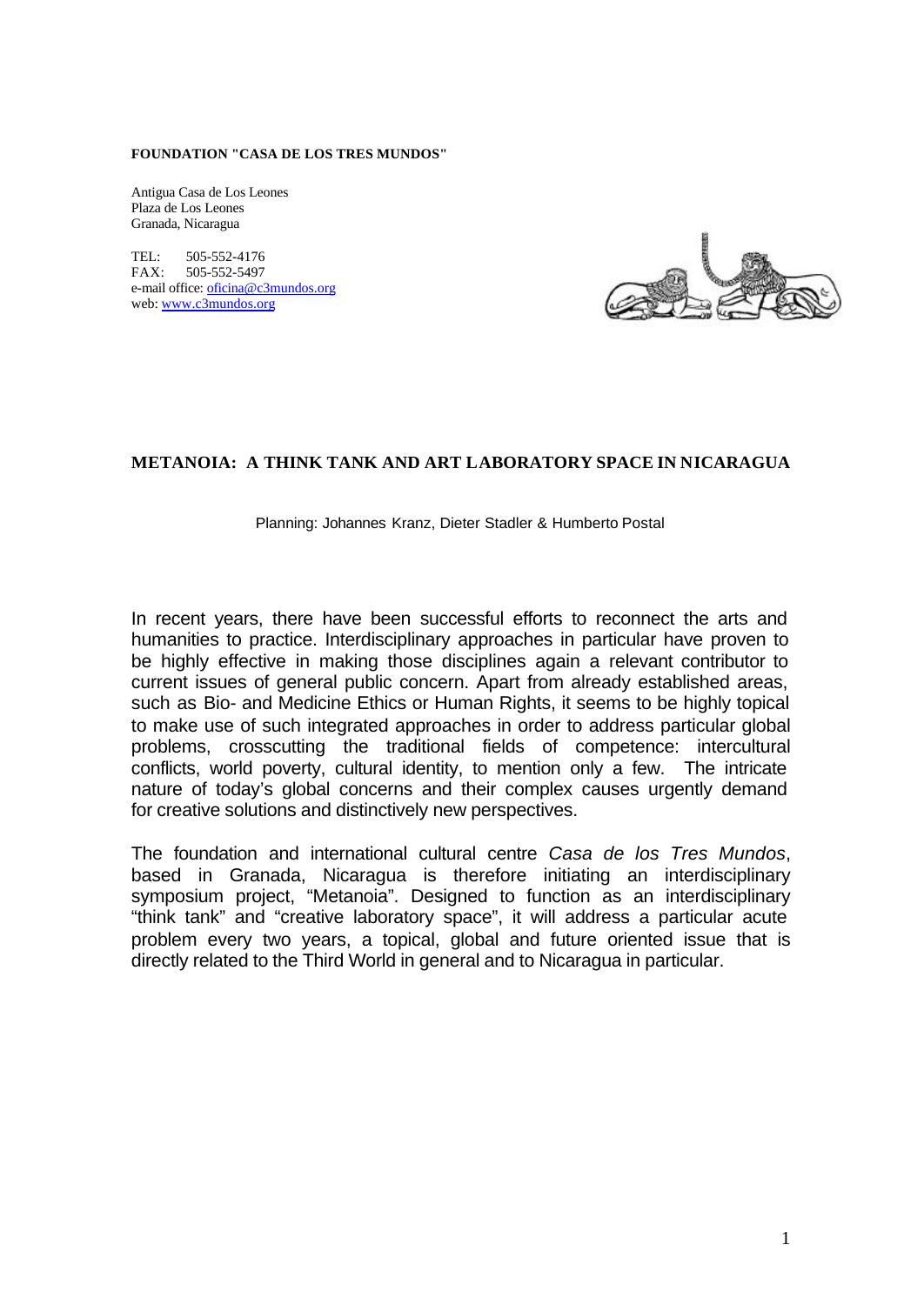#### **FOUNDATION "CASA DE LOS TRES MUNDOS"**

Antigua Casa de Los Leones Plaza de Los Leones Granada, Nicaragua

TEL: 505-552-4176 FAX: 505-552-5497 e-mail office: oficina@c3mundos.org web: www.c3mundos.org



## **METANOIA: A THINK TANK AND ART LABORATORY SPACE IN NICARAGUA**

Planning: Johannes Kranz, Dieter Stadler & Humberto Postal

In recent years, there have been successful efforts to reconnect the arts and humanities to practice. Interdisciplinary approaches in particular have proven to be highly effective in making those disciplines again a relevant contributor to current issues of general public concern. Apart from already established areas, such as Bio- and Medicine Ethics or Human Rights, it seems to be highly topical to make use of such integrated approaches in order to address particular global problems, crosscutting the traditional fields of competence: intercultural conflicts, world poverty, cultural identity, to mention only a few. The intricate nature of today's global concerns and their complex causes urgently demand for creative solutions and distinctively new perspectives.

The foundation and international cultural centre *Casa de los Tres Mundos*, based in Granada, Nicaragua is therefore initiating an interdisciplinary symposium project, "Metanoia". Designed to function as an interdisciplinary "think tank" and "creative laboratory space", it will address a particular acute problem every two years, a topical, global and future oriented issue that is directly related to the Third World in general and to Nicaragua in particular.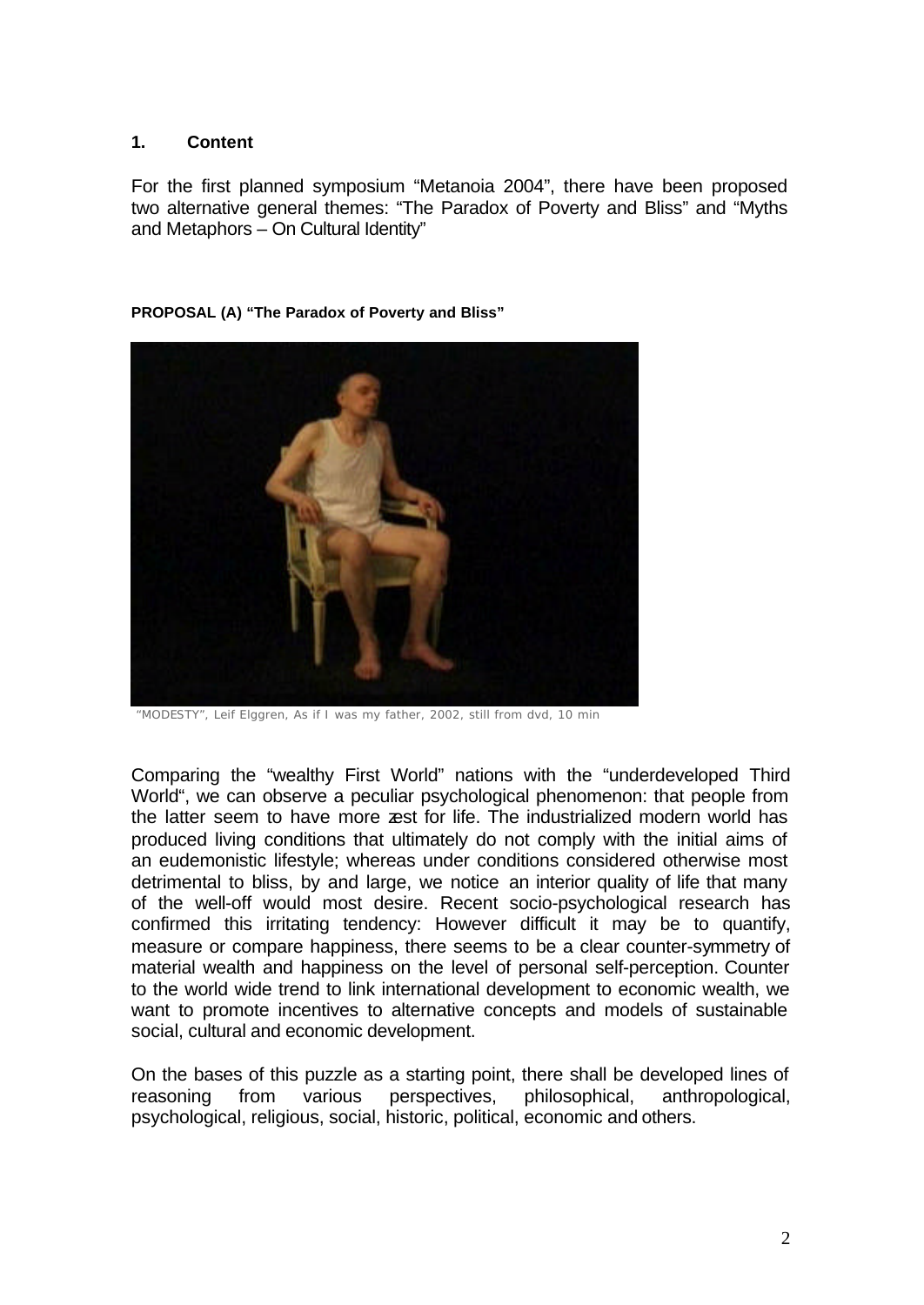## **1. Content**

For the first planned symposium "Metanoia 2004", there have been proposed two alternative general themes: "The Paradox of Poverty and Bliss" and "Myths and Metaphors – On Cultural Identity"

### **PROPOSAL (A) "The Paradox of Poverty and Bliss"**



 *"MODESTY", Leif Elggren, As if I was my father, 2002, still from dvd, 10 min*

Comparing the "wealthy First World" nations with the "underdeveloped Third World", we can observe a peculiar psychological phenomenon: that people from the latter seem to have more zest for life. The industrialized modern world has produced living conditions that ultimately do not comply with the initial aims of an eudemonistic lifestyle; whereas under conditions considered otherwise most detrimental to bliss, by and large, we notice an interior quality of life that many of the well-off would most desire. Recent socio-psychological research has confirmed this irritating tendency: However difficult it may be to quantify, measure or compare happiness, there seems to be a clear counter-symmetry of material wealth and happiness on the level of personal self-perception. Counter to the world wide trend to link international development to economic wealth, we want to promote incentives to alternative concepts and models of sustainable social, cultural and economic development.

On the bases of this puzzle as a starting point, there shall be developed lines of reasoning from various perspectives, philosophical, anthropological, psychological, religious, social, historic, political, economic and others.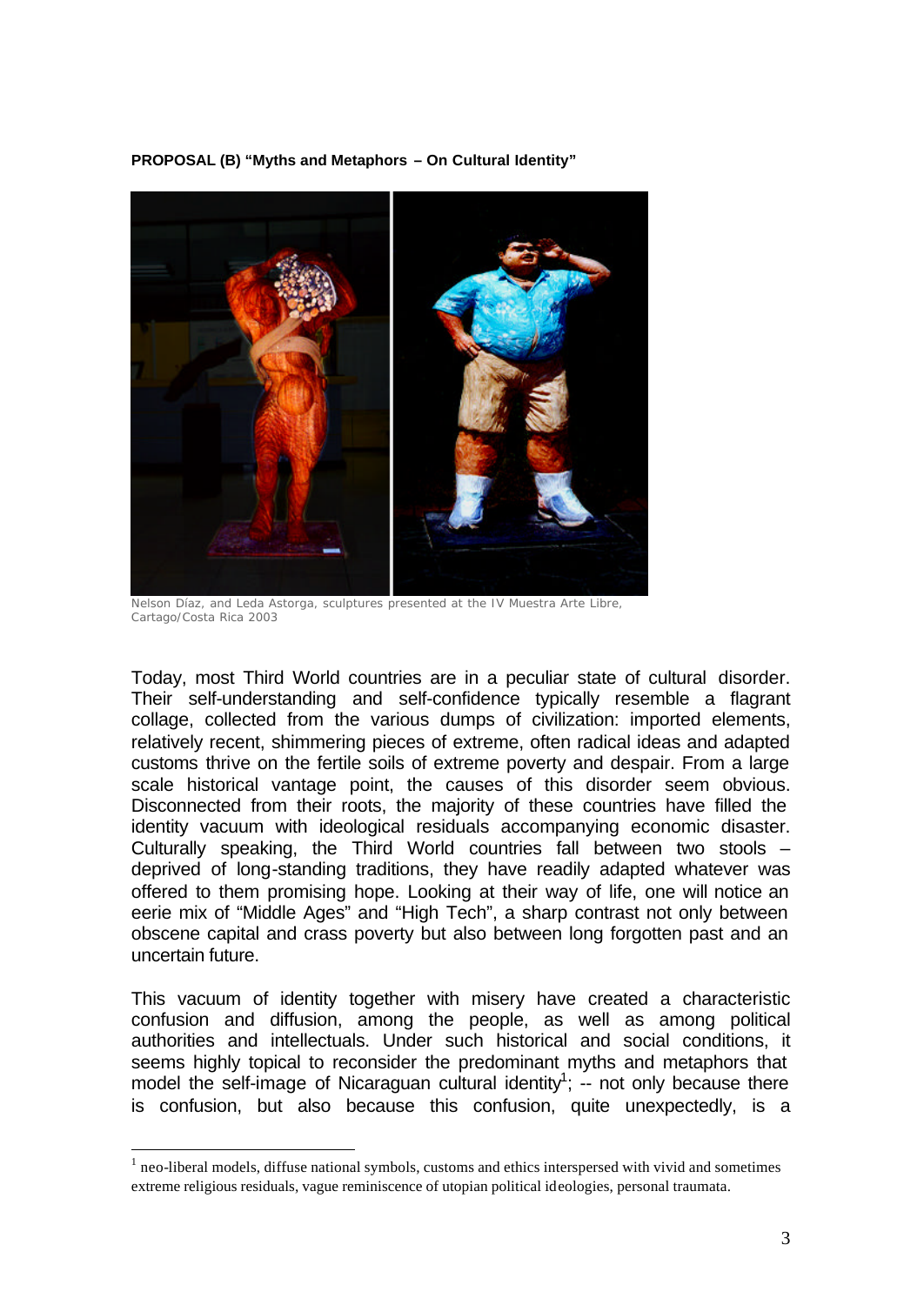**PROPOSAL (B) "Myths and Metaphors – On Cultural Identity"**



*Nelson Díaz, and Leda Astorga, sculptures presented at the IV Muestra Arte Libre, Cartago/Costa Rica 2003*

Today, most Third World countries are in a peculiar state of cultural disorder. Their self-understanding and self-confidence typically resemble a flagrant collage, collected from the various dumps of civilization: imported elements, relatively recent, shimmering pieces of extreme, often radical ideas and adapted customs thrive on the fertile soils of extreme poverty and despair. From a large scale historical vantage point, the causes of this disorder seem obvious. Disconnected from their roots, the majority of these countries have filled the identity vacuum with ideological residuals accompanying economic disaster. Culturally speaking, the Third World countries fall between two stools – deprived of long-standing traditions, they have readily adapted whatever was offered to them promising hope. Looking at their way of life, one will notice an eerie mix of "Middle Ages" and "High Tech", a sharp contrast not only between obscene capital and crass poverty but also between long forgotten past and an uncertain future.

This vacuum of identity together with misery have created a characteristic confusion and diffusion, among the people, as well as among political authorities and intellectuals. Under such historical and social conditions, it seems highly topical to reconsider the predominant myths and metaphors that model the self-image of Nicaraguan cultural identity<sup>1</sup>;  $\frac{1}{x}$  not only because there is confusion, but also because this confusion, quite unexpectedly, is a

l

 $<sup>1</sup>$  neo-liberal models, diffuse national symbols, customs and ethics interspersed with vivid and sometimes</sup> extreme religious residuals, vague reminiscence of utopian political ideologies, personal traumata.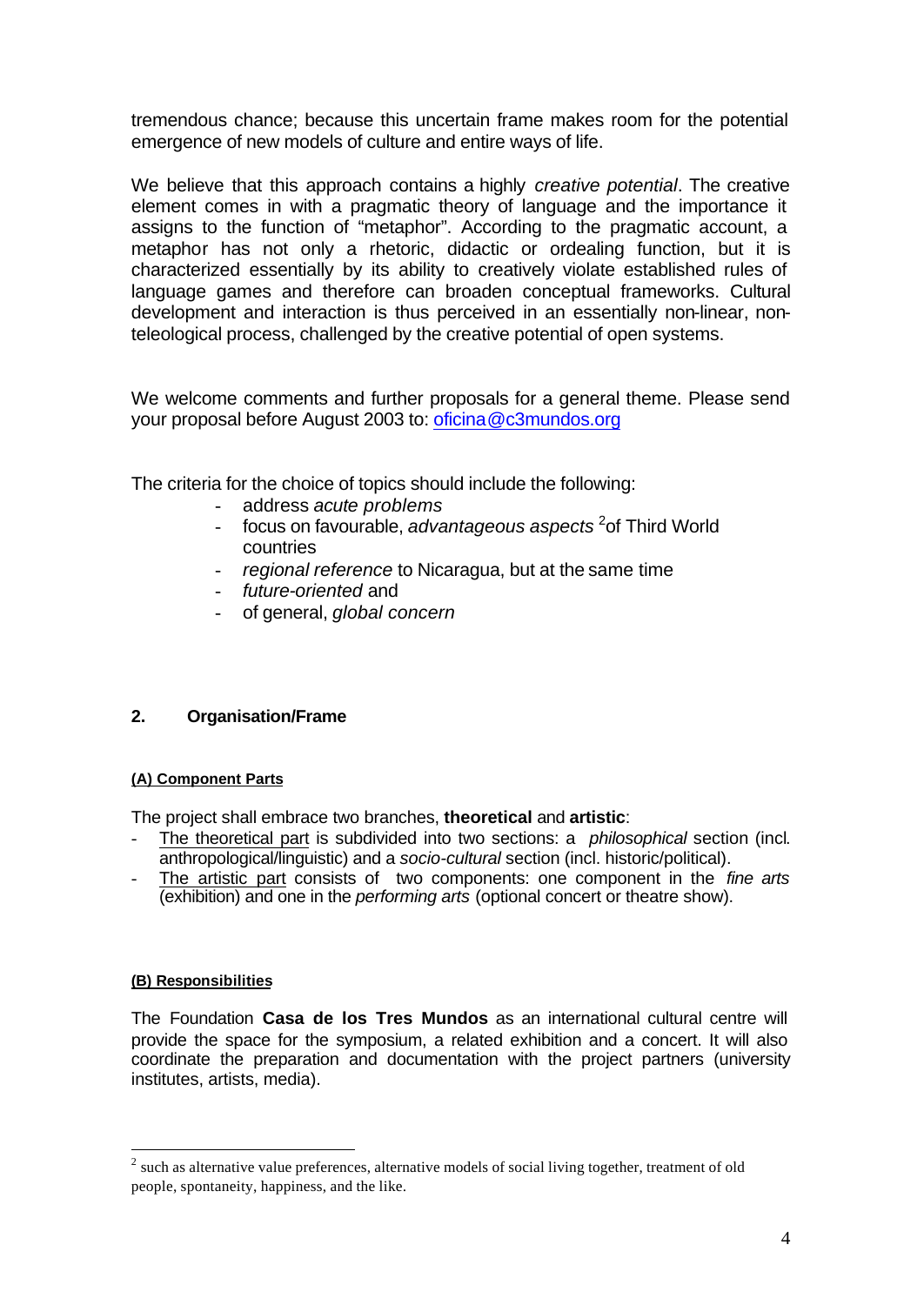tremendous chance; because this uncertain frame makes room for the potential emergence of new models of culture and entire ways of life.

We believe that this approach contains a highly *creative potential*. The creative element comes in with a pragmatic theory of language and the importance it assigns to the function of "metaphor". According to the pragmatic account, a metaphor has not only a rhetoric, didactic or ordealing function, but it is characterized essentially by its ability to creatively violate established rules of language games and therefore can broaden conceptual frameworks. Cultural development and interaction is thus perceived in an essentially non-linear, nonteleological process, challenged by the creative potential of open systems.

We welcome comments and further proposals for a general theme. Please send your proposal before August 2003 to: oficina@c3mundos.org

The criteria for the choice of topics should include the following:

- address *acute problems*
- focus on favourable, *advantageous aspects* <sup>2</sup> of Third World countries
- *regional reference* to Nicaragua, but at the same time
- *future-oriented* and
- of general, *global concern*

# **2. Organisation/Frame**

## **(A) Component Parts**

The project shall embrace two branches, **theoretical** and **artistic**:

- The theoretical part is subdivided into two sections: a *philosophical* section (incl. anthropological/linguistic) and a *socio-cultural* section (incl. historic/political).
- The artistic part consists of two components: one component in the *fine arts* (exhibition) and one in the *performing arts* (optional concert or theatre show).

## **(B) Responsibilities**

l

The Foundation **Casa de los Tres Mundos** as an international cultural centre will provide the space for the symposium, a related exhibition and a concert. It will also coordinate the preparation and documentation with the project partners (university institutes, artists, media).

 $2$  such as alternative value preferences, alternative models of social living together, treatment of old people, spontaneity, happiness, and the like.